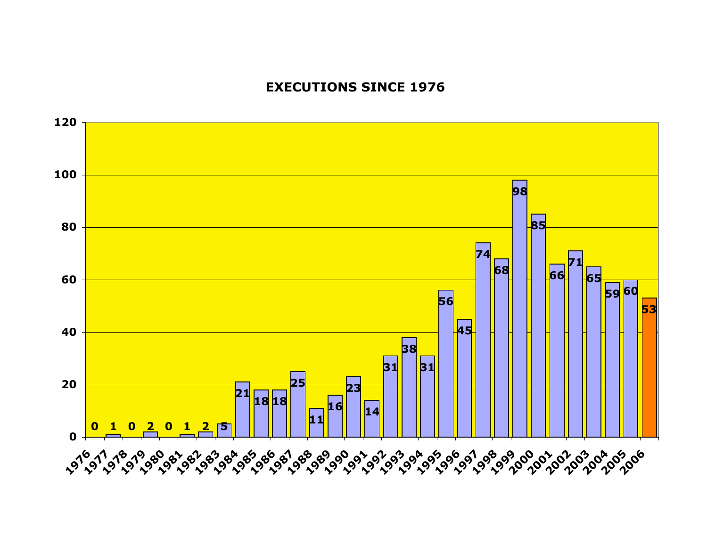## **EXECUTIONS SINCE 1976**

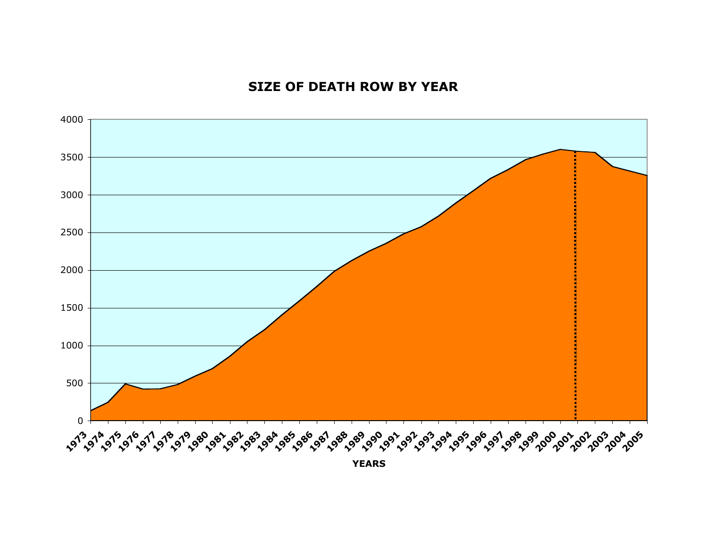## **SIZE OF DEATH ROW BY YEAR**



**YEARS**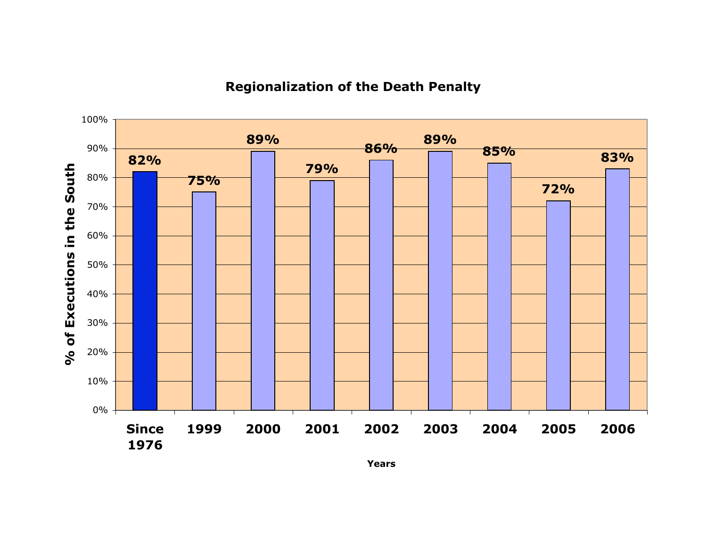## **Regionalization of the Death Penalty**



**Years**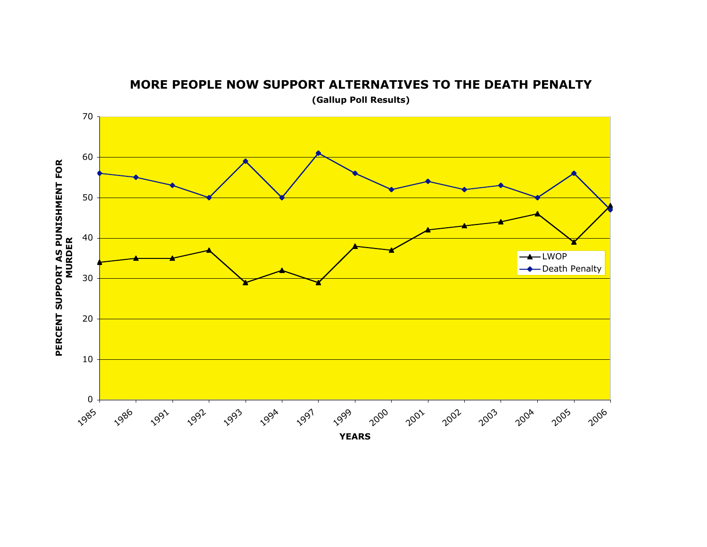

**MORE PEOPLE NOW SUPPORT ALTERNATIVES TO THE DEATH PENALTY**

**(Gallup Poll Results)**